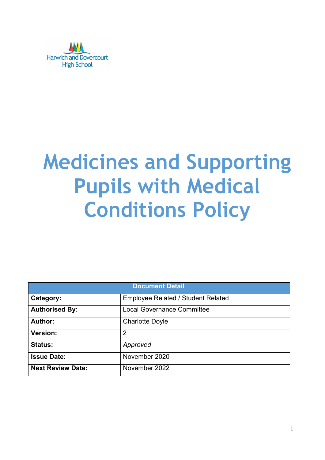

# **Medicines and Supporting Pupils with Medical Conditions Policy**

| <b>Document Detail</b>   |                                           |  |
|--------------------------|-------------------------------------------|--|
| Category:                | <b>Employee Related / Student Related</b> |  |
| <b>Authorised By:</b>    | <b>Local Governance Committee</b>         |  |
| Author:                  | <b>Charlotte Doyle</b>                    |  |
| <b>Version:</b>          | 2                                         |  |
| <b>Status:</b>           | Approved                                  |  |
| <b>Issue Date:</b>       | November 2020                             |  |
| <b>Next Review Date:</b> | November 2022                             |  |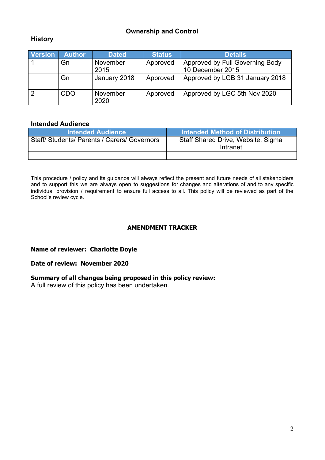# **Ownership and Control**

# **History**

| <b>Version</b> | <b>Author</b> | <b>Dated</b>     | <b>Status</b> | <b>Details</b>                                      |
|----------------|---------------|------------------|---------------|-----------------------------------------------------|
|                | Gn            | November<br>2015 | Approved      | Approved by Full Governing Body<br>10 December 2015 |
|                | Gn            | January 2018     | Approved      | Approved by LGB 31 January 2018                     |
|                | <b>CDO</b>    | November<br>2020 | Approved      | Approved by LGC 5th Nov 2020                        |

# **Intended Audience**

| <b>Intended Audience</b>                  | <b>Intended Method of Distribution</b>         |
|-------------------------------------------|------------------------------------------------|
| Staff/Students/Parents / Carers/Governors | Staff Shared Drive, Website, Sigma<br>Intranet |
|                                           |                                                |

This procedure / policy and its guidance will always reflect the present and future needs of all stakeholders and to support this we are always open to suggestions for changes and alterations of and to any specific individual provision / requirement to ensure full access to all. This policy will be reviewed as part of the School's review cycle.

# **AMENDMENT TRACKER**

# **Name of reviewer: Charlotte Doyle**

# **Date of review: November 2020**

# **Summary of all changes being proposed in this policy review:**

A full review of this policy has been undertaken.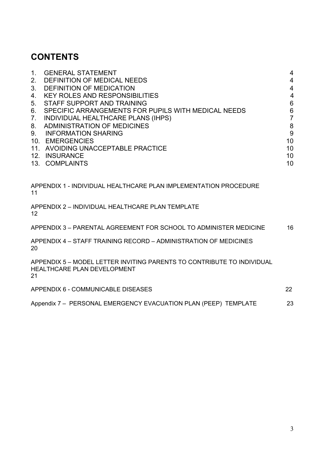# **CONTENTS**

| $\mathbf{1}$ .<br>2.<br>3.<br>4.<br>5.<br>6.<br>7.<br>8.<br>9 <sub>1</sub> | <b>GENERAL STATEMENT</b><br>DEFINITION OF MEDICAL NEEDS<br><b>DEFINITION OF MEDICATION</b><br><b>KEY ROLES AND RESPONSIBILITIES</b><br>STAFF SUPPORT AND TRAINING<br>SPECIFIC ARRANGEMENTS FOR PUPILS WITH MEDICAL NEEDS<br>INDIVIDUAL HEALTHCARE PLANS (IHPS)<br>ADMINISTRATION OF MEDICINES<br><b>INFORMATION SHARING</b><br>10. EMERGENCIES<br>11. AVOIDING UNACCEPTABLE PRACTICE<br>12. INSURANCE<br>13. COMPLAINTS | 4<br>$\overline{4}$<br>4<br>$\overline{4}$<br>$\,6$<br>$6\phantom{1}6$<br>$\overline{7}$<br>8<br>9<br>10<br>10<br>10<br>10 |
|----------------------------------------------------------------------------|-------------------------------------------------------------------------------------------------------------------------------------------------------------------------------------------------------------------------------------------------------------------------------------------------------------------------------------------------------------------------------------------------------------------------|----------------------------------------------------------------------------------------------------------------------------|
| 11                                                                         | APPENDIX 1 - INDIVIDUAL HEALTHCARE PLAN IMPLEMENTATION PROCEDURE                                                                                                                                                                                                                                                                                                                                                        |                                                                                                                            |
| 12                                                                         | APPENDIX 2 - INDIVIDUAL HEALTHCARE PLAN TEMPLATE                                                                                                                                                                                                                                                                                                                                                                        |                                                                                                                            |
|                                                                            | APPENDIX 3 - PARENTAL AGREEMENT FOR SCHOOL TO ADMINISTER MEDICINE                                                                                                                                                                                                                                                                                                                                                       | 16                                                                                                                         |
| 20                                                                         | APPENDIX 4 – STAFF TRAINING RECORD – ADMINISTRATION OF MEDICINES                                                                                                                                                                                                                                                                                                                                                        |                                                                                                                            |
| 21                                                                         | APPENDIX 5 – MODEL LETTER INVITING PARENTS TO CONTRIBUTE TO INDIVIDUAL<br>HEALTHCARE PLAN DEVELOPMENT                                                                                                                                                                                                                                                                                                                   |                                                                                                                            |
|                                                                            | APPENDIX 6 - COMMUNICABLE DISEASES                                                                                                                                                                                                                                                                                                                                                                                      | 22                                                                                                                         |

Appendix 7 - PERSONAL EMERGENCY EVACUATION PLAN (PEEP) TEMPLATE 23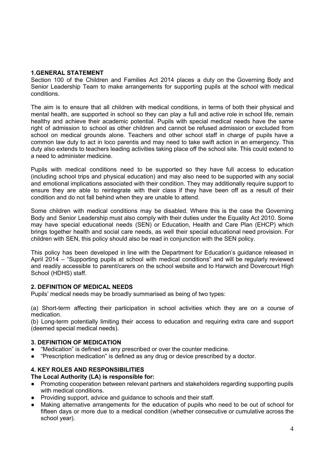# **1.GENERAL STATEMENT**

Section 100 of the Children and Families Act 2014 places a duty on the Governing Body and Senior Leadership Team to make arrangements for supporting pupils at the school with medical conditions.

The aim is to ensure that all children with medical conditions, in terms of both their physical and mental health, are supported in school so they can play a full and active role in school life, remain healthy and achieve their academic potential. Pupils with special medical needs have the same right of admission to school as other children and cannot be refused admission or excluded from school on medical grounds alone. Teachers and other school staff in charge of pupils have a common law duty to act in loco parentis and may need to take swift action in an emergency. This duty also extends to teachers leading activities taking place off the school site. This could extend to a need to administer medicine.

Pupils with medical conditions need to be supported so they have full access to education (including school trips and physical education) and may also need to be supported with any social and emotional implications associated with their condition. They may additionally require support to ensure they are able to reintegrate with their class if they have been off as a result of their condition and do not fall behind when they are unable to attend.

Some children with medical conditions may be disabled. Where this is the case the Governing Body and Senior Leadership must also comply with their duties under the Equality Act 2010. Some may have special educational needs (SEN) or Education, Health and Care Plan (EHCP) which brings together health and social care needs, as well their special educational need provision. For children with SEN, this policy should also be read in conjunction with the SEN policy.

This policy has been developed in line with the Department for Education's guidance released in April 2014 – "Supporting pupils at school with medical conditions" and will be regularly reviewed and readily accessible to parent/carers on the school website and to Harwich and Dovercourt High School (HDHS) staff.

# **2. DEFINITION OF MEDICAL NEEDS**

Pupils' medical needs may be broadly summarised as being of two types:

(a) Short-term affecting their participation in school activities which they are on a course of medication.

(b) Long-term potentially limiting their access to education and requiring extra care and support (deemed special medical needs).

# **3. DEFINITION OF MEDICATION**

- "Medication" is defined as any prescribed or over the counter medicine.
- "Prescription medication" is defined as any drug or device prescribed by a doctor.

# **4. KEY ROLES AND RESPONSIBILITIES**

#### **The Local Authority (LA) is responsible for:**

- Promoting cooperation between relevant partners and stakeholders regarding supporting pupils with medical conditions.
- Providing support, advice and guidance to schools and their staff.
- Making alternative arrangements for the education of pupils who need to be out of school for fifteen days or more due to a medical condition (whether consecutive or cumulative across the school year).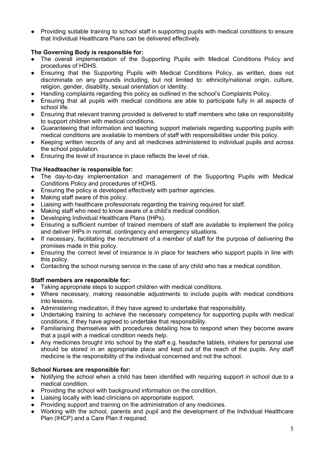● Providing suitable training to school staff in supporting pupils with medical conditions to ensure that Individual Healthcare Plans can be delivered effectively.

# **The Governing Body is responsible for:**

- The overall implementation of the Supporting Pupils with Medical Conditions Policy and procedures of HDHS.
- Ensuring that the Supporting Pupils with Medical Conditions Policy, as written, does not discriminate on any grounds including, but not limited to: ethnicity/national origin, culture, religion, gender, disability, sexual orientation or identity.
- Handling complaints regarding this policy as outlined in the school's Complaints Policy.
- Ensuring that all pupils with medical conditions are able to participate fully in all aspects of school life.
- Ensuring that relevant training provided is delivered to staff members who take on responsibility to support children with medical conditions.
- Guaranteeing that information and teaching support materials regarding supporting pupils with medical conditions are available to members of staff with responsibilities under this policy.
- Keeping written records of any and all medicines administered to individual pupils and across the school population.
- Ensuring the level of insurance in place reflects the level of risk.

# **The Headteacher is responsible for:**

- The day-to-day implementation and management of the Supporting Pupils with Medical Conditions Policy and procedures of HDHS.
- Ensuring the policy is developed effectively with partner agencies.
- Making staff aware of this policy.
- Liaising with healthcare professionals regarding the training required for staff.
- Making staff who need to know aware of a child's medical condition.
- Developing Individual Healthcare Plans (IHPs).
- Ensuring a sufficient number of trained members of staff are available to implement the policy and deliver IHPs in normal, contingency and emergency situations.
- If necessary, facilitating the recruitment of a member of staff for the purpose of delivering the promises made in this policy.
- Ensuring the correct level of insurance is in place for teachers who support pupils in line with this policy.
- Contacting the school nursing service in the case of any child who has a medical condition.

# **Staff members are responsible for:**

- Taking appropriate steps to support children with medical conditions.
- Where necessary, making reasonable adjustments to include pupils with medical conditions into lessons.
- Administering medication, if they have agreed to undertake that responsibility.
- Undertaking training to achieve the necessary competency for supporting pupils with medical conditions, if they have agreed to undertake that responsibility.
- Familiarising themselves with procedures detailing how to respond when they become aware that a pupil with a medical condition needs help.
- Any medicines brought into school by the staff e.g. headache tablets, inhalers for personal use should be stored in an appropriate place and kept out of the reach of the pupils. Any staff medicine is the responsibility of the individual concerned and not the school.

# **School Nurses are responsible for:**

- Notifying the school when a child has been identified with requiring support in school due to a medical condition.
- Providing the school with background information on the condition.
- Liaising locally with lead clinicians on appropriate support.
- Providing support and training on the administration of any medicines.
- Working with the school, parents and pupil and the development of the Individual Healthcare Plan (IHCP) and a Care Plan if required.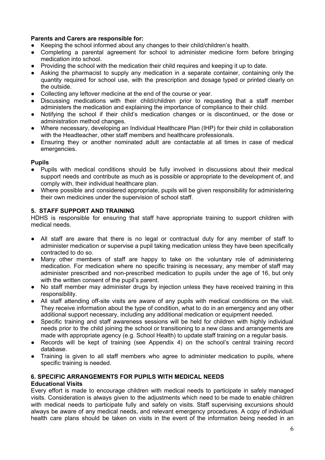# **Parents and Carers are responsible for:**

- Keeping the school informed about any changes to their child/children's health.
- Completing a parental agreement for school to administer medicine form before bringing medication into school.
- Providing the school with the medication their child requires and keeping it up to date.
- Asking the pharmacist to supply any medication in a separate container, containing only the quantity required for school use, with the prescription and dosage typed or printed clearly on the outside.
- Collecting any leftover medicine at the end of the course or year.
- Discussing medications with their child/children prior to requesting that a staff member administers the medication and explaining the importance of compliance to their child.
- Notifying the school if their child's medication changes or is discontinued, or the dose or administration method changes.
- Where necessary, developing an Individual Healthcare Plan (IHP) for their child in collaboration with the Headteacher, other staff members and healthcare professionals.
- Ensuring they or another nominated adult are contactable at all times in case of medical emergencies.

# **Pupils**

- Pupils with medical conditions should be fully involved in discussions about their medical support needs and contribute as much as is possible or appropriate to the development of, and comply with, their individual healthcare plan.
- Where possible and considered appropriate, pupils will be given responsibility for administering their own medicines under the supervision of school staff.

# **5. STAFF SUPPORT AND TRAINING**

HDHS is responsible for ensuring that staff have appropriate training to support children with medical needs.

- All staff are aware that there is no legal or contractual duty for any member of staff to administer medication or supervise a pupil taking medication unless they have been specifically contracted to do so.
- Many other members of staff are happy to take on the voluntary role of administering medication. For medication where no specific training is necessary, any member of staff may administer prescribed and non-prescribed medication to pupils under the age of 16, but only with the written consent of the pupil's parent.
- No staff member may administer drugs by injection unless they have received training in this responsibility.
- All staff attending off-site visits are aware of any pupils with medical conditions on the visit. They receive information about the type of condition, what to do in an emergency and any other additional support necessary, including any additional medication or equipment needed.
- Specific training and staff awareness sessions will be held for children with highly individual needs prior to the child joining the school or transitioning to a new class and arrangements are made with appropriate agency (e.g. School Health) to update staff training on a regular basis.
- Records will be kept of training (see Appendix 4) on the school's central training record database.
- Training is given to all staff members who agree to administer medication to pupils, where specific training is needed.

# **6. SPECIFIC ARRANGEMENTS FOR PUPILS WITH MEDICAL NEEDS**

# **Educational Visits**

Every effort is made to encourage children with medical needs to participate in safely managed visits. Consideration is always given to the adjustments which need to be made to enable children with medical needs to participate fully and safely on visits. Staff supervising excursions should always be aware of any medical needs, and relevant emergency procedures. A copy of individual health care plans should be taken on visits in the event of the information being needed in an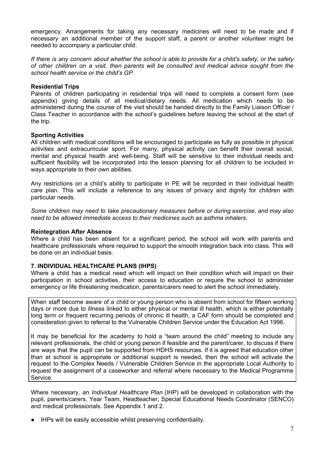emergency. Arrangements for taking any necessary medicines will need to be made and if necessary an additional member of the support staff, a parent or another volunteer might be needed to accompany a particular child.

If there is any concern about whether the school is able to provide for a child's safety, or the safety *of other children on a visit, then parents will be consulted and medical advice sought from the school health service or the child's GP.*

# **Residential Trips**

Parents of children participating in residential trips will need to complete a consent form (see appendix) giving details of all medical/dietary needs. All medication which needs to be administered during the course of the visit should be handed directly to the Family Liaison Officer / Class Teacher in accordance with the school's guidelines before leaving the school at the start of the trip.

#### **Sporting Activities**

All children with medical conditions will be encouraged to participate as fully as possible in physical activities and extracurricular sport. For many, physical activity can benefit their overall social, mental and physical health and well-being. Staff will be sensitive to their individual needs and sufficient flexibility will be incorporated into the lesson planning for all children to be included in ways appropriate to their own abilities.

Any restrictions on a child's ability to participate in PE will be recorded in their individual health care plan. This will include a reference to any issues of privacy and dignity for children with particular needs.

*Some children may need to take precautionary measures before or during exercise, and may also need to be allowed immediate access to their medicines such as asthma inhalers.*

#### **Reintegration After Absence**

Where a child has been absent for a significant period, the school will work with parents and healthcare professionals where required to support the smooth integration back into class. This will be done on an individual basis.

# **7. INDIVIDUAL HEALTHCARE PLANS (IHPS)**

Where a child has a medical need which will impact on their condition which will impact on their participation in school activities, their access to education or require the school to administer emergency or life threatening medication, parents/carers need to alert the school immediately.

When staff become aware of a child or young person who is absent from school for fifteen working days or more due to illness linked to either physical or mental ill health, which is either potentially long term or frequent recurring periods of chronic ill health, a CAF form should be completed and consideration given to referral to the Vulnerable Children Service under the Education Act 1996.

It may be beneficial for the academy to hold a "team around the child" meeting to include any relevant professionals, the child or young person if feasible and the parent/carer, to discuss if there are ways that the pupil can be supported from HDHS resources. If it is agreed that education other than at school is appropriate or additional support is needed, then the school will activate the request to the Complex Needs / Vulnerable Children Service in the appropriate Local Authority to request the assignment of a caseworker and referral where necessary to the Medical Programme Service.

Where necessary, an *Individual Healthcare Plan* (IHP) will be developed in collaboration with the pupil, parents/carers, Year Team, Headteacher, Special Educational Needs Coordinator (SENCO) and medical professionals. See Appendix 1 and 2.

● IHPs will be easily accessible whilst preserving confidentiality.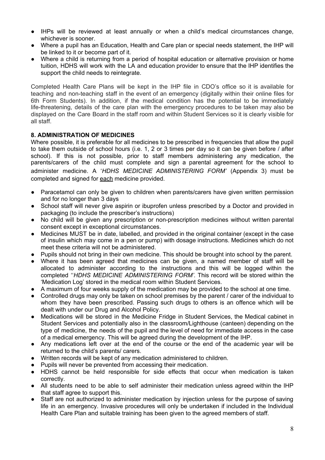- IHPs will be reviewed at least annually or when a child's medical circumstances change, whichever is sooner.
- Where a pupil has an Education, Health and Care plan or special needs statement, the IHP will be linked to it or become part of it.
- Where a child is returning from a period of hospital education or alternative provision or home tuition, HDHS will work with the LA and education provider to ensure that the IHP identifies the support the child needs to reintegrate.

Completed Health Care Plans will be kept in the IHP file in CDO's office so it is available for teaching and non-teaching staff in the event of an emergency (digitally within their online files for 6th Form Students). In addition, if the medical condition has the potential to be immediately life-threatening, details of the care plan with the emergency procedures to be taken may also be displayed on the Care Board in the staff room and within Student Services so it is clearly visible for all staff.

# **8. ADMINISTRATION OF MEDICINES**

Where possible, it is preferable for all medicines to be prescribed in frequencies that allow the pupil to take them outside of school hours (i.e. 1, 2 or 3 times per day so it can be given before / after school). If this is not possible, prior to staff members administering any medication, the parents/carers of the child must complete and sign a parental agreement for the school to administer medicine. A '*HDHS MEDICINE ADMINISTERING FORM'* (Appendix 3) must be completed and signed for each medicine provided.

- Paracetamol can only be given to children when parents/carers have given written permission and for no longer than 3 days
- School staff will never give aspirin or ibuprofen unless prescribed by a Doctor and provided in packaging (to include the prescriber's instructions)
- No child will be given any prescription or non-prescription medicines without written parental consent except in exceptional circumstances.
- Medicines MUST be in date, labelled, and provided in the original container (except in the case of insulin which may come in a pen or pump) with dosage instructions. Medicines which do not meet these criteria will not be administered.
- Pupils should not bring in their own medicine. This should be brought into school by the parent.
- Where it has been agreed that medicines can be given, a named member of staff will be allocated to administer according to the instructions and this will be logged within the completed ''*HDHS MEDICINE ADMINISTERING FORM'.* This record will be stored within the 'Medication Log' stored in the medical room within Student Services.
- A maximum of four weeks supply of the medication may be provided to the school at one time.
- Controlled drugs may only be taken on school premises by the parent / carer of the individual to whom they have been prescribed. Passing such drugs to others is an offence which will be dealt with under our Drug and Alcohol Policy.
- Medications will be stored in the Medicine Fridge in Student Services, the Medical cabinet in Student Services and potentially also in the classroom/Lighthouse (canteen) depending on the type of medicine, the needs of the pupil and the level of need for immediate access in the case of a medical emergency. This will be agreed during the development of the IHP.
- Any medications left over at the end of the course or the end of the academic year will be returned to the child's parents/ carers.
- Written records will be kept of any medication administered to children.
- Pupils will never be prevented from accessing their medication.
- HDHS cannot be held responsible for side effects that occur when medication is taken correctly.
- All students need to be able to self administer their medication unless agreed within the IHP that staff agree to support this.
- Staff are not authorized to administer medication by injection unless for the purpose of saving life in an emergency. Invasive procedures will only be undertaken if included in the Individual Health Care Plan and suitable training has been given to the agreed members of staff.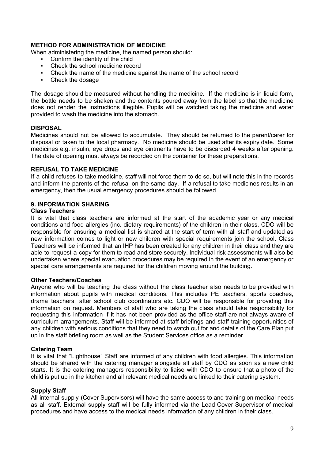# **METHOD FOR ADMINISTRATION OF MEDICINE**

When administering the medicine, the named person should:

- Confirm the identity of the child
- Check the school medicine record
- Check the name of the medicine against the name of the school record
- Check the dosage

The dosage should be measured without handling the medicine. If the medicine is in liquid form, the bottle needs to be shaken and the contents poured away from the label so that the medicine does not render the instructions illegible. Pupils will be watched taking the medicine and water provided to wash the medicine into the stomach.

#### **DISPOSAL**

Medicines should not be allowed to accumulate. They should be returned to the parent/carer for disposal or taken to the local pharmacy. No medicine should be used after its expiry date. Some medicines e.g. insulin, eye drops and eye ointments have to be discarded 4 weeks after opening. The date of opening must always be recorded on the container for these preparations.

#### **REFUSAL TO TAKE MEDICINE**

If a child refuses to take medicine, staff will not force them to do so, but will note this in the records and inform the parents of the refusal on the same day. If a refusal to take medicines results in an emergency, then the usual emergency procedures should be followed.

#### **9. INFORMATION SHARING**

#### **Class Teachers**

It is vital that class teachers are informed at the start of the academic year or any medical conditions and food allergies (inc. dietary requirements) of the children in their class. CDO will be responsible for ensuring a medical list is shared at the start of term with all staff and updated as new information comes to light or new children with special requirements join the school. Class Teachers will be informed that an IHP has been created for any children in their class and they are able to request a copy for them to read and store securely. Individual risk assessments will also be undertaken where special evacuation procedures may be required in the event of an emergency or special care arrangements are required for the children moving around the building.

#### **Other Teachers/Coaches**

Anyone who will be teaching the class without the class teacher also needs to be provided with information about pupils with medical conditions. This includes PE teachers, sports coaches, drama teachers, after school club coordinators etc. CDO will be responsible for providing this information on request. Members of staff who are taking the class should take responsibility for requesting this information if it has not been provided as the office staff are not always aware of curriculum arrangements. Staff will be informed at staff briefings and staff training opportunities of any children with serious conditions that they need to watch out for and details of the Care Plan put up in the staff briefing room as well as the Student Services office as a reminder.

#### **Catering Team**

It is vital that "Lighthouse" Staff are informed of any children with food allergies. This information should be shared with the catering manager alongside all staff by CDO as soon as a new child starts. It is the catering managers responsibility to liaise with CDO to ensure that a photo of the child is put up in the kitchen and all relevant medical needs are linked to their catering system.

#### **Supply Staff**

All internal supply (Cover Supervisors) will have the same access to and training on medical needs as all staff. External supply staff will be fully informed via the Lead Cover Supervisor of medical procedures and have access to the medical needs information of any children in their class.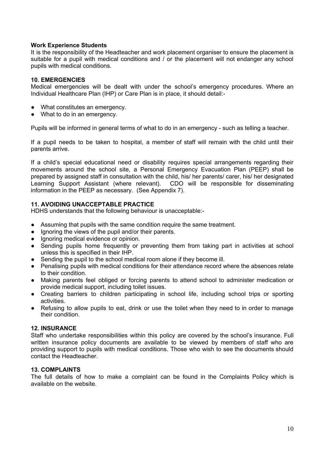# **Work Experience Students**

It is the responsibility of the Headteacher and work placement organiser to ensure the placement is suitable for a pupil with medical conditions and / or the placement will not endanger any school pupils with medical conditions.

#### **10. EMERGENCIES**

Medical emergencies will be dealt with under the school's emergency procedures. Where an Individual Healthcare Plan (IHP) or Care Plan is in place, it should detail:-

- What constitutes an emergency.
- What to do in an emergency.

Pupils will be informed in general terms of what to do in an emergency - such as telling a teacher.

If a pupil needs to be taken to hospital, a member of staff will remain with the child until their parents arrive.

If a child's special educational need or disability requires special arrangements regarding their movements around the school site, a Personal Emergency Evacuation Plan (PEEP) shall be prepared by assigned staff in consultation with the child, his/ her parents/ carer, his/ her designated Learning Support Assistant (where relevant). CDO will be responsible for disseminating information in the PEEP as necessary. (See Appendix 7).

# **11. AVOIDING UNACCEPTABLE PRACTICE**

HDHS understands that the following behaviour is unacceptable:-

- Assuming that pupils with the same condition require the same treatment.
- Ignoring the views of the pupil and/or their parents.
- Ignoring medical evidence or opinion.
- Sending pupils home frequently or preventing them from taking part in activities at school unless this is specified in their IHP.
- Sending the pupil to the school medical room alone if they become ill.
- Penalising pupils with medical conditions for their attendance record where the absences relate to their condition.
- Making parents feel obliged or forcing parents to attend school to administer medication or provide medical support, including toilet issues.
- Creating barriers to children participating in school life, including school trips or sporting activities.
- Refusing to allow pupils to eat, drink or use the toilet when they need to in order to manage their condition.

#### **12. INSURANCE**

Staff who undertake responsibilities within this policy are covered by the school's insurance. Full written insurance policy documents are available to be viewed by members of staff who are providing support to pupils with medical conditions. Those who wish to see the documents should contact the Headteacher.

#### **13. COMPLAINTS**

The full details of how to make a complaint can be found in the Complaints Policy which is available on the website.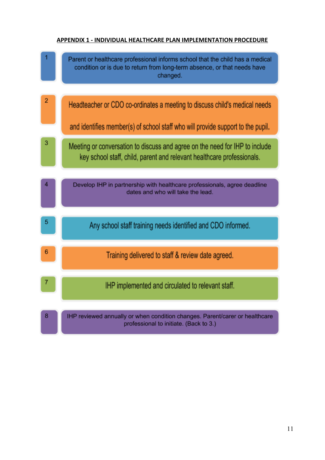<span id="page-10-0"></span>

|                | Parent or healthcare professional informs school that the child has a medical<br>condition or is due to return from long-term absence, or that needs have<br>changed. |
|----------------|-----------------------------------------------------------------------------------------------------------------------------------------------------------------------|
| $\overline{a}$ | Headteacher or CDO co-ordinates a meeting to discuss child's medical needs                                                                                            |
|                | and identifies member(s) of school staff who will provide support to the pupil.                                                                                       |
| 3              | Meeting or conversation to discuss and agree on the need for IHP to include<br>key school staff, child, parent and relevant healthcare professionals.                 |
|                |                                                                                                                                                                       |
|                | Develop IHP in partnership with healthcare professionals, agree deadline<br>dates and who will take the lead.                                                         |
| 5              | Any school staff training needs identified and CDO informed.                                                                                                          |
| 6              | Training delivered to staff & review date agreed.                                                                                                                     |
|                | IHP implemented and circulated to relevant staff.                                                                                                                     |
| 8              | IHP reviewed annually or when condition changes. Parent/carer or healthcare<br>professional to initiate. (Back to 3.)                                                 |

# **APPENDIX 1 - INDIVIDUAL HEALTHCARE PLAN IMPLEMENTATION PROCEDURE**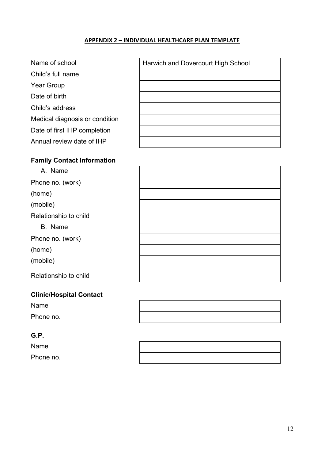# **APPENDIX 2 – INDIVIDUAL HEALTHCARE PLAN TEMPLATE**

Name of school **Harwich and Dovercourt High School** Child's full name Year Group Date of birth Child's address Medical diagnosis or condition Date of first IHP completion Annual review date of IHP **Family Contact Information** A. Name Phone no. (work) (home) (mobile) Relationship to child B. Name Phone no. (work) (home) (mobile) Relationship to child **Clinic/Hospital Contact** Name Phone no.

# **G.P.**

Name Phone no.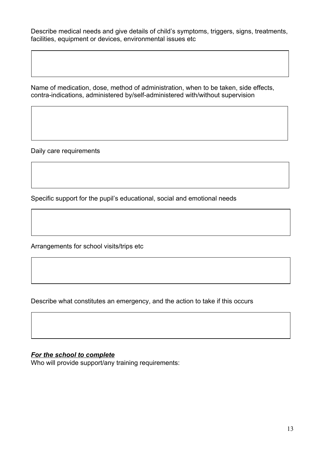Describe medical needs and give details of child's symptoms, triggers, signs, treatments, facilities, equipment or devices, environmental issues etc

Name of medication, dose, method of administration, when to be taken, side effects, contra-indications, administered by/self-administered with/without supervision

Daily care requirements

Specific support for the pupil's educational, social and emotional needs

Arrangements for school visits/trips etc

Describe what constitutes an emergency, and the action to take if this occurs

# *For the school to complete*

Who will provide support/any training requirements: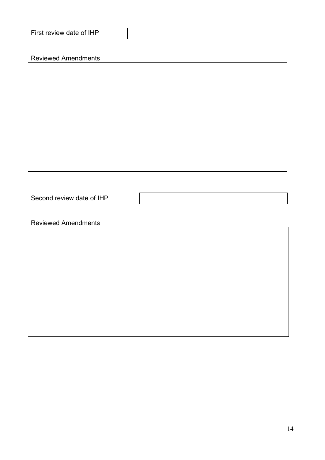| First review date of IHP   |  |
|----------------------------|--|
|                            |  |
| <b>Reviewed Amendments</b> |  |
|                            |  |
|                            |  |
|                            |  |
|                            |  |
|                            |  |
|                            |  |
|                            |  |
|                            |  |
|                            |  |
|                            |  |
|                            |  |
| Second review date of IHP  |  |
|                            |  |
| <b>Reviewed Amendments</b> |  |
|                            |  |
|                            |  |
|                            |  |
|                            |  |
|                            |  |
|                            |  |
|                            |  |
|                            |  |
|                            |  |
|                            |  |
|                            |  |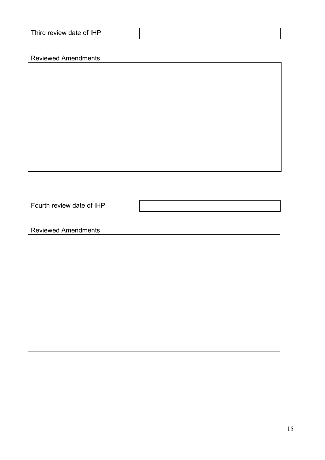|  | Third review date of IHP |  |  |  |
|--|--------------------------|--|--|--|
|--|--------------------------|--|--|--|

Reviewed Amendments

Fourth review date of IHP

<span id="page-14-0"></span>Reviewed Amendments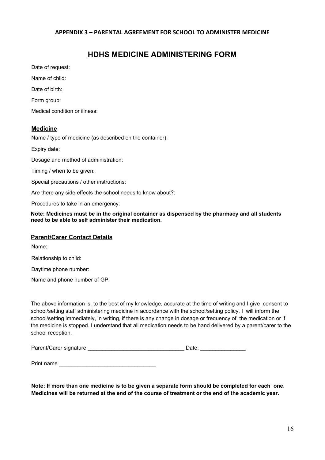# **APPENDIX 3 – PARENTAL AGREEMENT FOR SCHOOL TO ADMINISTER MEDICINE**

# **HDHS MEDICINE ADMINISTERING FORM**

Date of request:

Name of child:

Date of birth:

Form group:

Medical condition or illness:

# **Medicine**

Name / type of medicine (as described on the container):

Expiry date:

Dosage and method of administration:

Timing / when to be given:

Special precautions / other instructions:

Are there any side effects the school needs to know about?:

Procedures to take in an emergency:

**Note: Medicines must be in the original container as dispensed by the pharmacy and all students need to be able to self administer their medication.**

# **Parent/Carer Contact Details**

Name:

Relationship to child:

Daytime phone number:

Name and phone number of GP:

The above information is, to the best of my knowledge, accurate at the time of writing and I give consent to school/setting staff administering medicine in accordance with the school/setting policy. I will inform the school/setting immediately, in writing, if there is any change in dosage or frequency of the medication or if the medicine is stopped. I understand that all medication needs to be hand delivered by a parent/carer to the school reception.

| Parent/Carer signature | Date |
|------------------------|------|
|------------------------|------|

Note: If more than one medicine is to be given a separate form should be completed for each one. Medicines will be returned at the end of the course of treatment or the end of the academic year.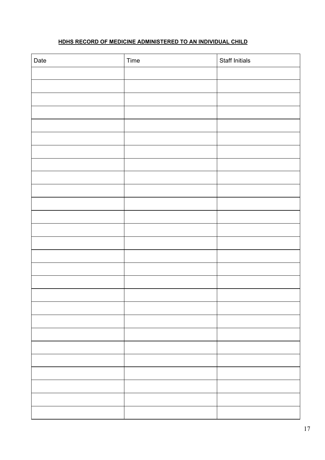# **HDHS RECORD OF MEDICINE ADMINISTERED TO AN INDIVIDUAL CHILD**

| Date | Time | <b>Staff Initials</b> |
|------|------|-----------------------|
|      |      |                       |
|      |      |                       |
|      |      |                       |
|      |      |                       |
|      |      |                       |
|      |      |                       |
|      |      |                       |
|      |      |                       |
|      |      |                       |
|      |      |                       |
|      |      |                       |
|      |      |                       |
|      |      |                       |
|      |      |                       |
|      |      |                       |
|      |      |                       |
|      |      |                       |
|      |      |                       |
|      |      |                       |
|      |      |                       |
|      |      |                       |
|      |      |                       |
|      |      |                       |
|      |      |                       |
|      |      |                       |
|      |      |                       |
|      |      |                       |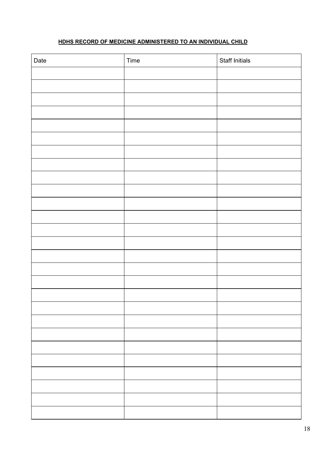# **HDHS RECORD OF MEDICINE ADMINISTERED TO AN INDIVIDUAL CHILD**

| Date | Time | <b>Staff Initials</b> |
|------|------|-----------------------|
|      |      |                       |
|      |      |                       |
|      |      |                       |
|      |      |                       |
|      |      |                       |
|      |      |                       |
|      |      |                       |
|      |      |                       |
|      |      |                       |
|      |      |                       |
|      |      |                       |
|      |      |                       |
|      |      |                       |
|      |      |                       |
|      |      |                       |
|      |      |                       |
|      |      |                       |
|      |      |                       |
|      |      |                       |
|      |      |                       |
|      |      |                       |
|      |      |                       |
|      |      |                       |
|      |      |                       |
|      |      |                       |
|      |      |                       |
|      |      |                       |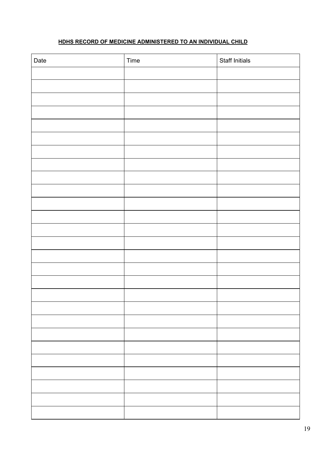# **HDHS RECORD OF MEDICINE ADMINISTERED TO AN INDIVIDUAL CHILD**

| Date | Time | <b>Staff Initials</b> |
|------|------|-----------------------|
|      |      |                       |
|      |      |                       |
|      |      |                       |
|      |      |                       |
|      |      |                       |
|      |      |                       |
|      |      |                       |
|      |      |                       |
|      |      |                       |
|      |      |                       |
|      |      |                       |
|      |      |                       |
|      |      |                       |
|      |      |                       |
|      |      |                       |
|      |      |                       |
|      |      |                       |
|      |      |                       |
|      |      |                       |
|      |      |                       |
|      |      |                       |
|      |      |                       |
|      |      |                       |
|      |      |                       |
|      |      |                       |
|      |      |                       |
|      |      |                       |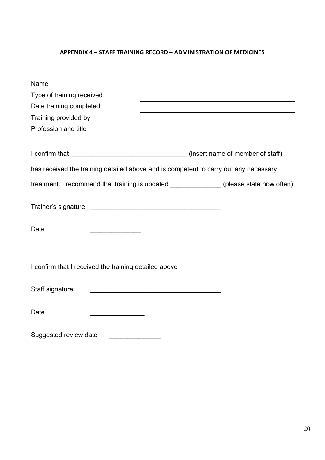# **APPENDIX 4 – STAFF TRAINING RECORD – ADMINISTRATION OF MEDICINES**

| Name                                                                                   |                                                                 |  |
|----------------------------------------------------------------------------------------|-----------------------------------------------------------------|--|
| Type of training received                                                              |                                                                 |  |
| Date training completed                                                                | <u> 1980 - Johann Barn, mars an t-Amerikaansk kommunister (</u> |  |
| Training provided by                                                                   |                                                                 |  |
| Profession and title                                                                   |                                                                 |  |
|                                                                                        |                                                                 |  |
|                                                                                        |                                                                 |  |
| has received the training detailed above and is competent to carry out any necessary   |                                                                 |  |
| treatment. I recommend that training is updated ______________(please state how often) |                                                                 |  |
|                                                                                        |                                                                 |  |
|                                                                                        |                                                                 |  |
|                                                                                        |                                                                 |  |
| Date                                                                                   |                                                                 |  |
|                                                                                        |                                                                 |  |
|                                                                                        |                                                                 |  |
| I confirm that I received the training detailed above                                  |                                                                 |  |
|                                                                                        |                                                                 |  |
| Staff signature                                                                        |                                                                 |  |
|                                                                                        |                                                                 |  |
| Date                                                                                   |                                                                 |  |
|                                                                                        |                                                                 |  |
| Suggested review date                                                                  |                                                                 |  |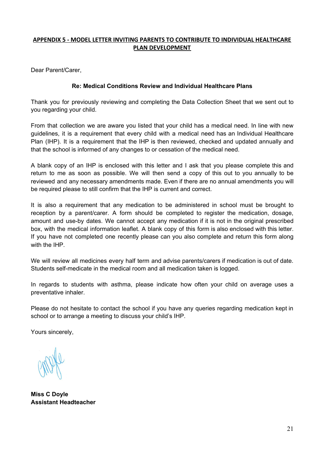# **APPENDIX 5 - MODEL LETTER INVITING PARENTS TO CONTRIBUTE TO INDIVIDUAL HEALTHCARE PLAN DEVELOPMENT**

Dear Parent/Carer,

# **Re: Medical Conditions Review and Individual Healthcare Plans**

Thank you for previously reviewing and completing the Data Collection Sheet that we sent out to you regarding your child.

From that collection we are aware you listed that your child has a medical need. In line with new guidelines, it is a requirement that every child with a medical need has an Individual Healthcare Plan (IHP). It is a requirement that the IHP is then reviewed, checked and updated annually and that the school is informed of any changes to or cessation of the medical need.

A blank copy of an IHP is enclosed with this letter and I ask that you please complete this and return to me as soon as possible. We will then send a copy of this out to you annually to be reviewed and any necessary amendments made. Even if there are no annual amendments you will be required please to still confirm that the IHP is current and correct.

It is also a requirement that any medication to be administered in school must be brought to reception by a parent/carer. A form should be completed to register the medication, dosage, amount and use-by dates. We cannot accept any medication if it is not in the original prescribed box, with the medical information leaflet. A blank copy of this form is also enclosed with this letter. If you have not completed one recently please can you also complete and return this form along with the IHP.

We will review all medicines every half term and advise parents/carers if medication is out of date. Students self-medicate in the medical room and all medication taken is logged.

In regards to students with asthma, please indicate how often your child on average uses a preventative inhaler.

Please do not hesitate to contact the school if you have any queries regarding medication kept in school or to arrange a meeting to discuss your child's IHP.

Yours sincerely,

**Miss C Doyle Assistant Headteacher**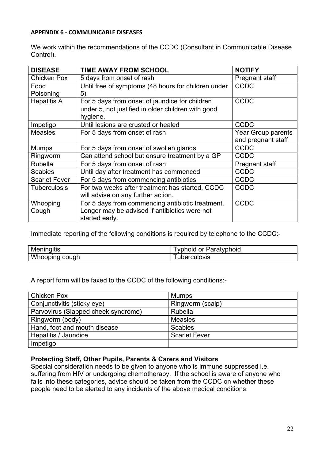# **APPENDIX 6 - COMMUNICABLE DISEASES**

We work within the recommendations of the CCDC (Consultant in Communicable Disease Control).

| <b>DISEASE</b>       | TIME AWAY FROM SCHOOL                               | <b>NOTIFY</b>         |
|----------------------|-----------------------------------------------------|-----------------------|
| <b>Chicken Pox</b>   | 5 days from onset of rash                           | Pregnant staff        |
| Food                 | Until free of symptoms (48 hours for children under | <b>CCDC</b>           |
| Poisoning            | 5)                                                  |                       |
| <b>Hepatitis A</b>   | For 5 days from onset of jaundice for children      | <b>CCDC</b>           |
|                      | under 5, not justified in older children with good  |                       |
|                      | hygiene.                                            |                       |
| Impetigo             | Until lesions are crusted or healed                 | <b>CCDC</b>           |
| <b>Measles</b>       | For 5 days from onset of rash                       | Year Group parents    |
|                      |                                                     | and pregnant staff    |
| <b>Mumps</b>         | For 5 days from onset of swollen glands             | <b>CCDC</b>           |
| Ringworm             | Can attend school but ensure treatment by a GP      | <b>CCDC</b>           |
| Rubella              | For 5 days from onset of rash                       | <b>Pregnant staff</b> |
| <b>Scabies</b>       | Until day after treatment has commenced             | <b>CCDC</b>           |
| <b>Scarlet Fever</b> | For 5 days from commencing antibiotics              | <b>CCDC</b>           |
| <b>Tuberculosis</b>  | For two weeks after treatment has started, CCDC     | <b>CCDC</b>           |
|                      | will advise on any further action.                  |                       |
| Whooping             | For 5 days from commencing antibiotic treatment.    | <b>CCDC</b>           |
| Cough                | Longer may be advised if antibiotics were not       |                       |
|                      | started early.                                      |                       |

Immediate reporting of the following conditions is required by telephone to the CCDC:-

| <b>Meningitis</b> | vphoid or Paratyphoid |
|-------------------|-----------------------|
| Whooping cough    | uberculosis           |

A report form will be faxed to the CCDC of the following conditions:-

| <b>Chicken Pox</b>                  | <b>Mumps</b>         |
|-------------------------------------|----------------------|
| Conjunctivitis (sticky eye)         | Ringworm (scalp)     |
| Parvovirus (Slapped cheek syndrome) | Rubella              |
| Ringworm (body)                     | <b>Measles</b>       |
| Hand, foot and mouth disease        | <b>Scabies</b>       |
| Hepatitis / Jaundice                | <b>Scarlet Fever</b> |
| Impetigo                            |                      |

# **Protecting Staff, Other Pupils, Parents & Carers and Visitors**

Special consideration needs to be given to anyone who is immune suppressed i.e. suffering from HIV or undergoing chemotherapy. If the school is aware of anyone who falls into these categories, advice should be taken from the CCDC on whether these people need to be alerted to any incidents of the above medical conditions.